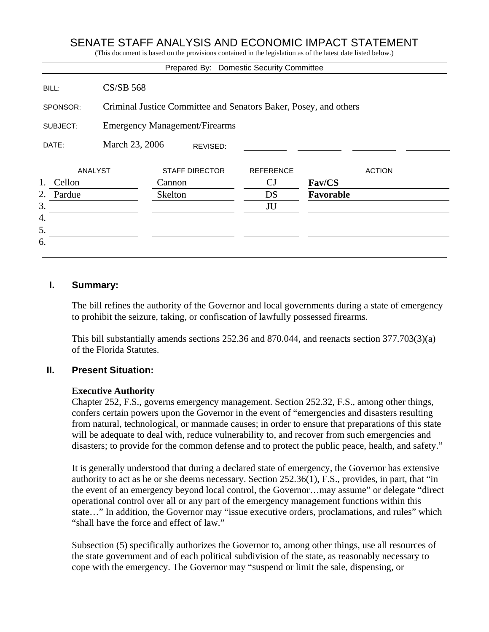# SENATE STAFF ANALYSIS AND ECONOMIC IMPACT STATEMENT

(This document is based on the provisions contained in the legislation as of the latest date listed below.)

|                |                                                                  |                       |         | Prepared By: Domestic Security Committee |           |               |
|----------------|------------------------------------------------------------------|-----------------------|---------|------------------------------------------|-----------|---------------|
| BILL:          | <b>CS/SB 568</b>                                                 |                       |         |                                          |           |               |
| SPONSOR:       | Criminal Justice Committee and Senators Baker, Posey, and others |                       |         |                                          |           |               |
| SUBJECT:       | <b>Emergency Management/Firearms</b>                             |                       |         |                                          |           |               |
| DATE:          | March 23, 2006<br>REVISED:                                       |                       |         |                                          |           |               |
| <b>ANALYST</b> |                                                                  | <b>STAFF DIRECTOR</b> |         | <b>REFERENCE</b>                         |           | <b>ACTION</b> |
| 1.<br>Cellon   | Cannon                                                           |                       |         | $_{\rm CJ}$                              | Fav/CS    |               |
| 2.<br>Pardue   |                                                                  |                       | Skelton | DS                                       | Favorable |               |
| 3.             |                                                                  |                       |         | JU                                       |           |               |
| 4.             |                                                                  |                       |         |                                          |           |               |
| 5.             |                                                                  |                       |         |                                          |           |               |
| 6.             |                                                                  |                       |         |                                          |           |               |
|                |                                                                  |                       |         |                                          |           |               |

#### **I. Summary:**

The bill refines the authority of the Governor and local governments during a state of emergency to prohibit the seizure, taking, or confiscation of lawfully possessed firearms.

This bill substantially amends sections 252.36 and 870.044, and reenacts section 377.703(3)(a) of the Florida Statutes.

#### **II. Present Situation:**

#### **Executive Authority**

Chapter 252, F.S., governs emergency management. Section 252.32, F.S., among other things, confers certain powers upon the Governor in the event of "emergencies and disasters resulting from natural, technological, or manmade causes; in order to ensure that preparations of this state will be adequate to deal with, reduce vulnerability to, and recover from such emergencies and disasters; to provide for the common defense and to protect the public peace, health, and safety."

It is generally understood that during a declared state of emergency, the Governor has extensive authority to act as he or she deems necessary. Section 252.36(1), F.S., provides, in part, that "in the event of an emergency beyond local control, the Governor…may assume" or delegate "direct operational control over all or any part of the emergency management functions within this state…" In addition, the Governor may "issue executive orders, proclamations, and rules" which "shall have the force and effect of law."

Subsection (5) specifically authorizes the Governor to, among other things, use all resources of the state government and of each political subdivision of the state, as reasonably necessary to cope with the emergency. The Governor may "suspend or limit the sale, dispensing, or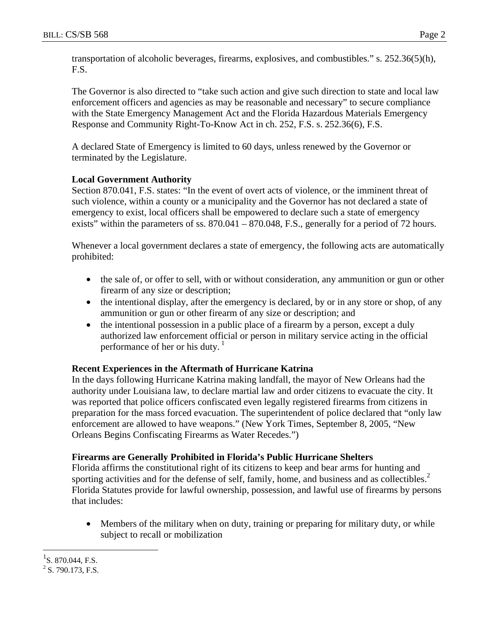transportation of alcoholic beverages, firearms, explosives, and combustibles." s. 252.36(5)(h), F.S.

The Governor is also directed to "take such action and give such direction to state and local law enforcement officers and agencies as may be reasonable and necessary" to secure compliance with the State Emergency Management Act and the Florida Hazardous Materials Emergency Response and Community Right-To-Know Act in ch. 252, F.S. s. 252.36(6), F.S.

A declared State of Emergency is limited to 60 days, unless renewed by the Governor or terminated by the Legislature.

## **Local Government Authority**

Section 870.041, F.S. states: "In the event of overt acts of violence, or the imminent threat of such violence, within a county or a municipality and the Governor has not declared a state of emergency to exist, local officers shall be empowered to declare such a state of emergency exists" within the parameters of ss. 870.041 – 870.048, F.S., generally for a period of 72 hours.

Whenever a local government declares a state of emergency, the following acts are automatically prohibited:

- the sale of, or offer to sell, with or without consideration, any ammunition or gun or other firearm of any size or description;
- the intentional display, after the emergency is declared, by or in any store or shop, of any ammunition or gun or other firearm of any size or description; and
- the intentional possession in a public place of a firearm by a person, except a duly authorized law enforcement official or person in military service acting in the official performance of her or his duty. $<sup>1</sup>$ </sup>

## **Recent Experiences in the Aftermath of Hurricane Katrina**

In the days following Hurricane Katrina making landfall, the mayor of New Orleans had the authority under Louisiana law, to declare martial law and order citizens to evacuate the city. It was reported that police officers confiscated even legally registered firearms from citizens in preparation for the mass forced evacuation. The superintendent of police declared that "only law enforcement are allowed to have weapons." (New York Times, September 8, 2005, "New Orleans Begins Confiscating Firearms as Water Recedes.")

## **Firearms are Generally Prohibited in Florida's Public Hurricane Shelters**

Florida affirms the constitutional right of its citizens to keep and bear arms for hunting and sporting activities and for the defense of self, family, home, and business and as collectibles. $2^2$ Florida Statutes provide for lawful ownership, possession, and lawful use of firearms by persons that includes:

• Members of the military when on duty, training or preparing for military duty, or while subject to recall or mobilization

1

 $^{1}$ S. 870.044, F.S.

 $2$  S. 790.173, F.S.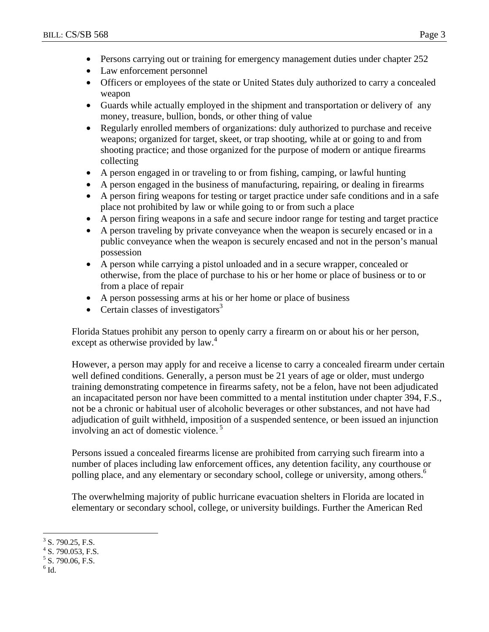- Persons carrying out or training for emergency management duties under chapter 252
- Law enforcement personnel
- Officers or employees of the state or United States duly authorized to carry a concealed weapon
- Guards while actually employed in the shipment and transportation or delivery of any money, treasure, bullion, bonds, or other thing of value
- Regularly enrolled members of organizations: duly authorized to purchase and receive weapons; organized for target, skeet, or trap shooting, while at or going to and from shooting practice; and those organized for the purpose of modern or antique firearms collecting
- A person engaged in or traveling to or from fishing, camping, or lawful hunting
- A person engaged in the business of manufacturing, repairing, or dealing in firearms
- A person firing weapons for testing or target practice under safe conditions and in a safe place not prohibited by law or while going to or from such a place
- A person firing weapons in a safe and secure indoor range for testing and target practice
- A person traveling by private conveyance when the weapon is securely encased or in a public conveyance when the weapon is securely encased and not in the person's manual possession
- A person while carrying a pistol unloaded and in a secure wrapper, concealed or otherwise, from the place of purchase to his or her home or place of business or to or from a place of repair
- A person possessing arms at his or her home or place of business
- Certain classes of investigators $3$

Florida Statues prohibit any person to openly carry a firearm on or about his or her person, except as otherwise provided by law.<sup>4</sup>

However, a person may apply for and receive a license to carry a concealed firearm under certain well defined conditions. Generally, a person must be 21 years of age or older, must undergo training demonstrating competence in firearms safety, not be a felon, have not been adjudicated an incapacitated person nor have been committed to a mental institution under chapter 394, F.S., not be a chronic or habitual user of alcoholic beverages or other substances, and not have had adjudication of guilt withheld, imposition of a suspended sentence, or been issued an injunction involving an act of domestic violence.<sup>5</sup>

Persons issued a concealed firearms license are prohibited from carrying such firearm into a number of places including law enforcement offices, any detention facility, any courthouse or polling place, and any elementary or secondary school, college or university, among others.<sup>6</sup>

The overwhelming majority of public hurricane evacuation shelters in Florida are located in elementary or secondary school, college, or university buildings. Further the American Red

<sup>&</sup>lt;u>.</u>  $3$  S. 790.25, F.S.

 $4$  S. 790.053, F.S.

 $5$  S. 790.06, F.S.

 $^6$  Id.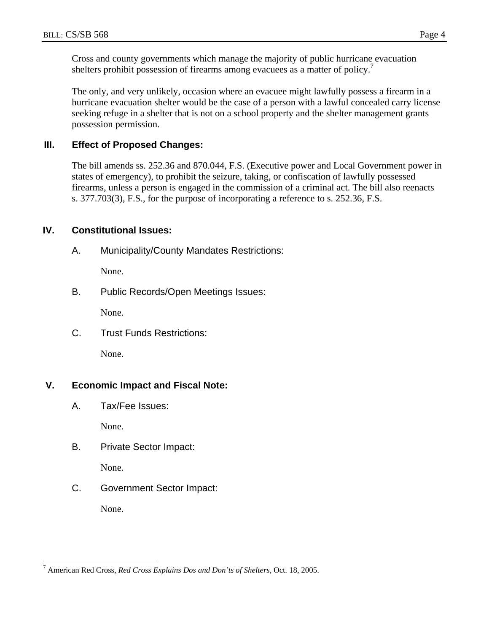Cross and county governments which manage the majority of public hurricane evacuation shelters prohibit possession of firearms among evacuees as a matter of policy.<sup>7</sup>

The only, and very unlikely, occasion where an evacuee might lawfully possess a firearm in a hurricane evacuation shelter would be the case of a person with a lawful concealed carry license seeking refuge in a shelter that is not on a school property and the shelter management grants possession permission.

#### **III. Effect of Proposed Changes:**

The bill amends ss. 252.36 and 870.044, F.S. (Executive power and Local Government power in states of emergency), to prohibit the seizure, taking, or confiscation of lawfully possessed firearms, unless a person is engaged in the commission of a criminal act. The bill also reenacts s. 377.703(3), F.S., for the purpose of incorporating a reference to s. 252.36, F.S.

#### **IV. Constitutional Issues:**

A. Municipality/County Mandates Restrictions:

None.

B. Public Records/Open Meetings Issues:

None.

C. Trust Funds Restrictions:

None.

## **V. Economic Impact and Fiscal Note:**

A. Tax/Fee Issues:

None.

B. Private Sector Impact:

None.

C. Government Sector Impact:

None.

 $\overline{a}$ 7 American Red Cross, *Red Cross Explains Dos and Don'ts of Shelters*, Oct. 18, 2005.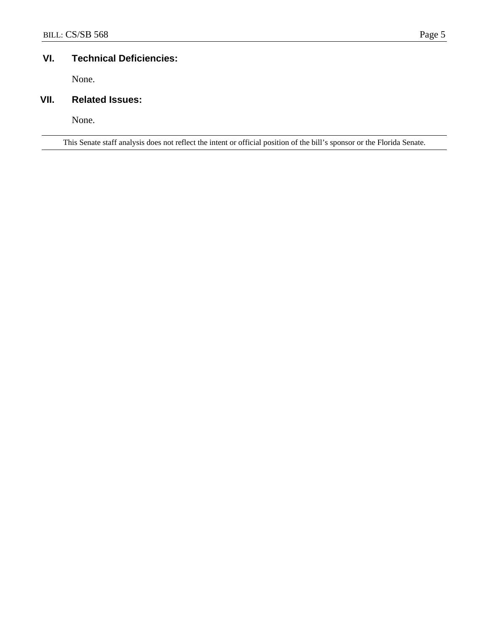## **VI. Technical Deficiencies:**

None.

# **VII. Related Issues:**

None.

This Senate staff analysis does not reflect the intent or official position of the bill's sponsor or the Florida Senate.